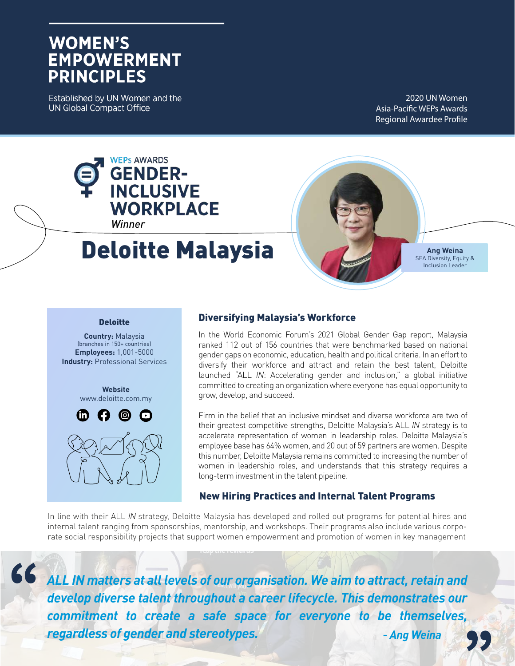## **WOMEN'S EMPOWERMENT PRINCIPLES**

Established by UN Women and the **UN Global Compact Office** 

2020 UN Women Asia-Pacific WEPs Awards Regional Awardee Profile



**Country:** Malaysia (branches in 150+ countries) **Employees:** 1,001-5000 **Industry:** Professional Services

> **Website** www.deloitte.com.my



### Diversifying Malaysia's Workforce

In the World Economic Forum's 2021 Global Gender Gap report, Malaysia ranked 112 out of 156 countries that were benchmarked based on national gender gaps on economic, education, health and political criteria. In an effort to diversify their workforce and attract and retain the best talent, Deloitte launched "ALL *IN*: Accelerating gender and inclusion," a global initiative committed to creating an organization where everyone has equal opportunity to grow, develop, and succeed.

Firm in the belief that an inclusive mindset and diverse workforce are two of their greatest competitive strengths, Deloitte Malaysia's ALL *IN* strategy is to accelerate representation of women in leadership roles. Deloitte Malaysia's employee base has 64% women, and 20 out of 59 partners are women. Despite this number, Deloitte Malaysia remains committed to increasing the number of women in leadership roles, and understands that this strategy requires a long-term investment in the talent pipeline.

#### New Hiring Practices and Internal Talent Programs

In line with their ALL *IN* strategy, Deloitte Malaysia has developed and rolled out programs for potential hires and internal talent ranging from sponsorships, mentorship, and workshops. Their programs also include various corporate social responsibility projects that support women empowerment and promotion of women in key management

 $66$ 

*ALL IN matters at all levels of our organisation. We aim to attract, retain and develop diverse talent throughout a career lifecycle. This demonstrates our commitment to create a safe space for everyone to be themselves, regardless of gender and stereotypes. - Ang Weina*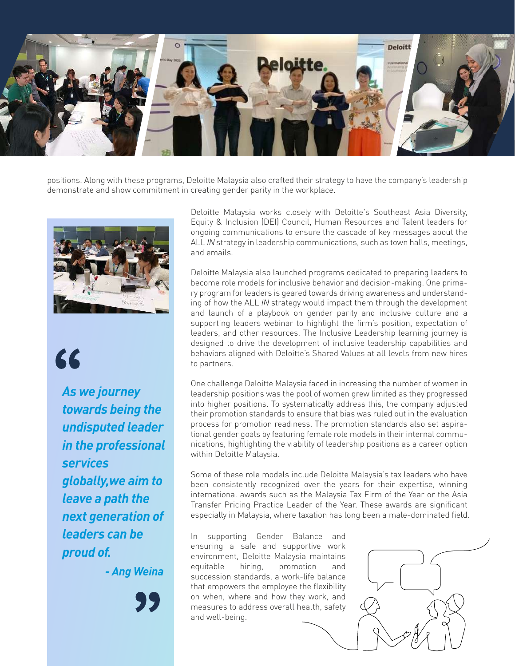

positions. Along with these programs, Deloitte Malaysia also crafted their strategy to have the company's leadership demonstrate and show commitment in creating gender parity in the workplace.



# 66

*As we journey towards being the undisputed leader in the professional services globally,we aim to leave a path the next generation of leaders can be proud of.*

*- Ang Weina*

Deloitte Malaysia works closely with Deloitte's Southeast Asia Diversity, Equity & Inclusion (DEI) Council, Human Resources and Talent leaders for ongoing communications to ensure the cascade of key messages about the ALL *IN* strategy in leadership communications, such as town halls, meetings, and emails.

Deloitte Malaysia also launched programs dedicated to preparing leaders to become role models for inclusive behavior and decision-making. One primary program for leaders is geared towards driving awareness and understanding of how the ALL *IN* strategy would impact them through the development and launch of a playbook on gender parity and inclusive culture and a supporting leaders webinar to highlight the firm's position, expectation of leaders, and other resources. The Inclusive Leadership learning journey is designed to drive the development of inclusive leadership capabilities and behaviors aligned with Deloitte's Shared Values at all levels from new hires to partners.

One challenge Deloitte Malaysia faced in increasing the number of women in leadership positions was the pool of women grew limited as they progressed into higher positions. To systematically address this, the company adjusted their promotion standards to ensure that bias was ruled out in the evaluation process for promotion readiness. The promotion standards also set aspirational gender goals by featuring female role models in their internal communications, highlighting the viability of leadership positions as a career option within Deloitte Malaysia.

Some of these role models include Deloitte Malaysia's tax leaders who have been consistently recognized over the years for their expertise, winning international awards such as the Malaysia Tax Firm of the Year or the Asia Transfer Pricing Practice Leader of the Year. These awards are significant especially in Malaysia, where taxation has long been a male-dominated field.

In supporting Gender Balance and ensuring a safe and supportive work environment, Deloitte Malaysia maintains equitable hiring, promotion and succession standards, a work-life balance that empowers the employee the flexibility on when, where and how they work, and measures to address overall health, safety and well-being.